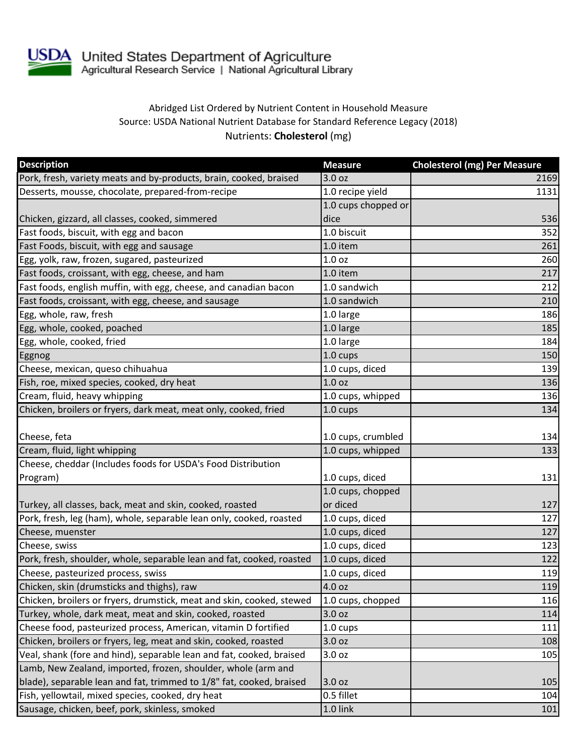

## Abridged List Ordered by Nutrient Content in Household Measure Source: USDA National Nutrient Database for Standard Reference Legacy (2018) Nutrients: **Cholesterol** (mg)

| <b>Description</b>                                                    | <b>Measure</b>      | <b>Cholesterol (mg) Per Measure</b> |
|-----------------------------------------------------------------------|---------------------|-------------------------------------|
| Pork, fresh, variety meats and by-products, brain, cooked, braised    | 3.0 oz              | 2169                                |
| Desserts, mousse, chocolate, prepared-from-recipe                     | 1.0 recipe yield    | 1131                                |
|                                                                       | 1.0 cups chopped or |                                     |
| Chicken, gizzard, all classes, cooked, simmered                       | dice                | 536                                 |
| Fast foods, biscuit, with egg and bacon                               | 1.0 biscuit         | 352                                 |
| Fast Foods, biscuit, with egg and sausage                             | 1.0 item            | 261                                 |
| Egg, yolk, raw, frozen, sugared, pasteurized                          | 1.0 <sub>oz</sub>   | 260                                 |
| Fast foods, croissant, with egg, cheese, and ham                      | 1.0 item            | 217                                 |
| Fast foods, english muffin, with egg, cheese, and canadian bacon      | 1.0 sandwich        | 212                                 |
| Fast foods, croissant, with egg, cheese, and sausage                  | 1.0 sandwich        | 210                                 |
| Egg, whole, raw, fresh                                                | 1.0 large           | 186                                 |
| Egg, whole, cooked, poached                                           | 1.0 large           | 185                                 |
| Egg, whole, cooked, fried                                             | 1.0 large           | 184                                 |
| Eggnog                                                                | 1.0 cups            | 150                                 |
| Cheese, mexican, queso chihuahua                                      | 1.0 cups, diced     | 139                                 |
| Fish, roe, mixed species, cooked, dry heat                            | 1.0 oz              | 136                                 |
| Cream, fluid, heavy whipping                                          | 1.0 cups, whipped   | 136                                 |
| Chicken, broilers or fryers, dark meat, meat only, cooked, fried      | 1.0 cups            | 134                                 |
| Cheese, feta                                                          | 1.0 cups, crumbled  | 134                                 |
| Cream, fluid, light whipping                                          | 1.0 cups, whipped   | 133                                 |
| Cheese, cheddar (Includes foods for USDA's Food Distribution          |                     |                                     |
| Program)                                                              | 1.0 cups, diced     | 131                                 |
|                                                                       | 1.0 cups, chopped   |                                     |
| Turkey, all classes, back, meat and skin, cooked, roasted             | or diced            | 127                                 |
| Pork, fresh, leg (ham), whole, separable lean only, cooked, roasted   | 1.0 cups, diced     | 127                                 |
| Cheese, muenster                                                      | 1.0 cups, diced     | 127                                 |
| Cheese, swiss                                                         | 1.0 cups, diced     | 123                                 |
| Pork, fresh, shoulder, whole, separable lean and fat, cooked, roasted | 1.0 cups, diced     | 122                                 |
| Cheese, pasteurized process, swiss                                    | 1.0 cups, diced     | 119                                 |
| Chicken, skin (drumsticks and thighs), raw                            | 4.0 oz              | 119                                 |
| Chicken, broilers or fryers, drumstick, meat and skin, cooked, stewed | 1.0 cups, chopped   | 116                                 |
| Turkey, whole, dark meat, meat and skin, cooked, roasted              | 3.0 oz              | 114                                 |
| Cheese food, pasteurized process, American, vitamin D fortified       | $1.0 \text{ cups}$  | 111                                 |
| Chicken, broilers or fryers, leg, meat and skin, cooked, roasted      | 3.0 oz              | 108                                 |
| Veal, shank (fore and hind), separable lean and fat, cooked, braised  | 3.0 <sub>oz</sub>   | 105                                 |
| Lamb, New Zealand, imported, frozen, shoulder, whole (arm and         |                     |                                     |
| blade), separable lean and fat, trimmed to 1/8" fat, cooked, braised  | 3.0 oz              | 105                                 |
| Fish, yellowtail, mixed species, cooked, dry heat                     | 0.5 fillet          | 104                                 |
| Sausage, chicken, beef, pork, skinless, smoked                        | 1.0 link            | 101                                 |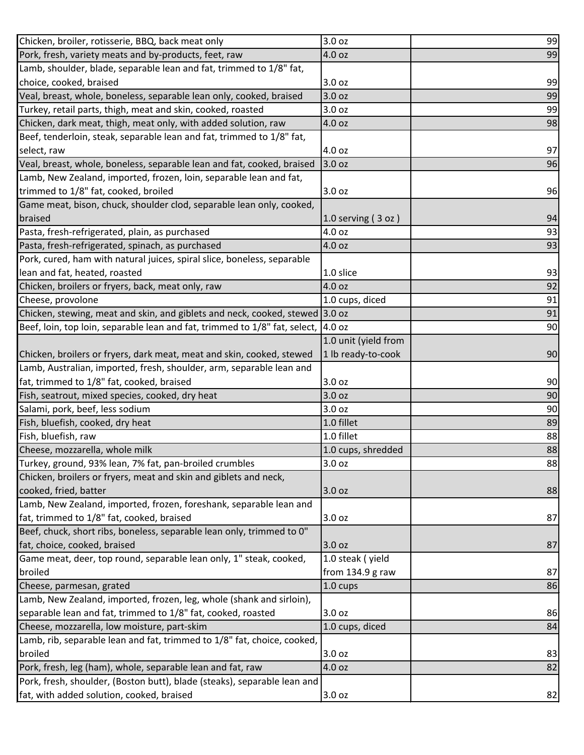| Chicken, broiler, rotisserie, BBQ, back meat only                                 | 3.0 oz                 | 99 |
|-----------------------------------------------------------------------------------|------------------------|----|
| Pork, fresh, variety meats and by-products, feet, raw                             | 4.0 oz                 | 99 |
| Lamb, shoulder, blade, separable lean and fat, trimmed to 1/8" fat,               |                        |    |
| choice, cooked, braised                                                           | 3.0 oz                 | 99 |
| Veal, breast, whole, boneless, separable lean only, cooked, braised               | 3.0 oz                 | 99 |
| Turkey, retail parts, thigh, meat and skin, cooked, roasted                       | 3.0 oz                 | 99 |
| Chicken, dark meat, thigh, meat only, with added solution, raw                    | 4.0 oz                 | 98 |
| Beef, tenderloin, steak, separable lean and fat, trimmed to 1/8" fat,             |                        |    |
| select, raw                                                                       | 4.0 oz                 | 97 |
| Veal, breast, whole, boneless, separable lean and fat, cooked, braised            | 3.0 oz                 | 96 |
| Lamb, New Zealand, imported, frozen, loin, separable lean and fat,                |                        |    |
| trimmed to 1/8" fat, cooked, broiled                                              | 3.0 oz                 | 96 |
| Game meat, bison, chuck, shoulder clod, separable lean only, cooked,              |                        |    |
| braised                                                                           | $1.0$ serving $(3$ oz) | 94 |
| Pasta, fresh-refrigerated, plain, as purchased                                    | 4.0 oz                 | 93 |
| Pasta, fresh-refrigerated, spinach, as purchased                                  | 4.0 oz                 | 93 |
| Pork, cured, ham with natural juices, spiral slice, boneless, separable           |                        |    |
| lean and fat, heated, roasted                                                     | 1.0 slice              | 93 |
| Chicken, broilers or fryers, back, meat only, raw                                 | 4.0 oz                 | 92 |
| Cheese, provolone                                                                 | 1.0 cups, diced        | 91 |
| Chicken, stewing, meat and skin, and giblets and neck, cooked, stewed 3.0 oz      |                        | 91 |
| Beef, loin, top loin, separable lean and fat, trimmed to 1/8" fat, select, 4.0 oz |                        | 90 |
|                                                                                   | 1.0 unit (yield from   |    |
| Chicken, broilers or fryers, dark meat, meat and skin, cooked, stewed             | 1 lb ready-to-cook     | 90 |
| Lamb, Australian, imported, fresh, shoulder, arm, separable lean and              |                        |    |
| fat, trimmed to 1/8" fat, cooked, braised                                         | 3.0 oz                 | 90 |
| Fish, seatrout, mixed species, cooked, dry heat                                   | 3.0 oz                 | 90 |
| Salami, pork, beef, less sodium                                                   | 3.0 oz                 | 90 |
| Fish, bluefish, cooked, dry heat                                                  | 1.0 fillet             | 89 |
| Fish, bluefish, raw                                                               | 1.0 fillet             | 88 |
| Cheese, mozzarella, whole milk                                                    | 1.0 cups, shredded     | 88 |
| Turkey, ground, 93% lean, 7% fat, pan-broiled crumbles                            | 3.0 oz                 | 88 |
| Chicken, broilers or fryers, meat and skin and giblets and neck,                  |                        |    |
| cooked, fried, batter                                                             | 3.0 oz                 | 88 |
| Lamb, New Zealand, imported, frozen, foreshank, separable lean and                |                        |    |
| fat, trimmed to 1/8" fat, cooked, braised                                         | 3.0 oz                 | 87 |
| Beef, chuck, short ribs, boneless, separable lean only, trimmed to 0"             |                        |    |
| fat, choice, cooked, braised                                                      | 3.0 oz                 | 87 |
| Game meat, deer, top round, separable lean only, 1" steak, cooked,                | 1.0 steak (yield       |    |
| broiled                                                                           | from 134.9 g raw       | 87 |
| Cheese, parmesan, grated                                                          | 1.0 cups               | 86 |
| Lamb, New Zealand, imported, frozen, leg, whole (shank and sirloin),              |                        |    |
| separable lean and fat, trimmed to 1/8" fat, cooked, roasted                      | 3.0 oz                 | 86 |
| Cheese, mozzarella, low moisture, part-skim                                       | 1.0 cups, diced        | 84 |
| Lamb, rib, separable lean and fat, trimmed to 1/8" fat, choice, cooked,           |                        |    |
| broiled                                                                           | 3.0 oz                 | 83 |
| Pork, fresh, leg (ham), whole, separable lean and fat, raw                        | 4.0 oz                 | 82 |
| Pork, fresh, shoulder, (Boston butt), blade (steaks), separable lean and          |                        |    |
| fat, with added solution, cooked, braised                                         | 3.0 oz                 | 82 |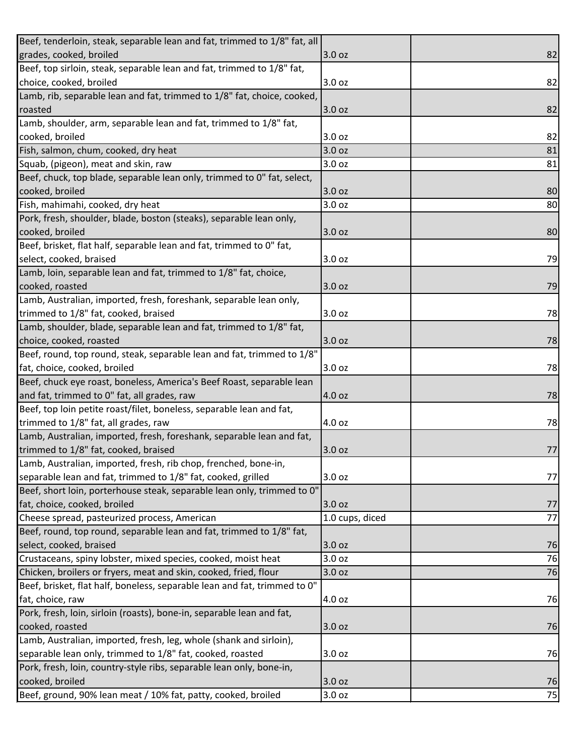| Beef, tenderloin, steak, separable lean and fat, trimmed to 1/8" fat, all |                 |    |
|---------------------------------------------------------------------------|-----------------|----|
| grades, cooked, broiled                                                   | 3.0 oz          | 82 |
| Beef, top sirloin, steak, separable lean and fat, trimmed to 1/8" fat,    |                 |    |
| choice, cooked, broiled                                                   | 3.0 oz          | 82 |
| Lamb, rib, separable lean and fat, trimmed to 1/8" fat, choice, cooked,   |                 |    |
| roasted                                                                   | 3.0 oz          | 82 |
| Lamb, shoulder, arm, separable lean and fat, trimmed to 1/8" fat,         |                 |    |
| cooked, broiled                                                           | 3.0 oz          | 82 |
| Fish, salmon, chum, cooked, dry heat                                      | 3.0 oz          | 81 |
| Squab, (pigeon), meat and skin, raw                                       | 3.0 oz          | 81 |
| Beef, chuck, top blade, separable lean only, trimmed to 0" fat, select,   |                 |    |
| cooked, broiled                                                           | 3.0 oz          | 80 |
| Fish, mahimahi, cooked, dry heat                                          | 3.0 oz          | 80 |
| Pork, fresh, shoulder, blade, boston (steaks), separable lean only,       |                 |    |
| cooked, broiled                                                           | 3.0 oz          | 80 |
| Beef, brisket, flat half, separable lean and fat, trimmed to 0" fat,      |                 |    |
| select, cooked, braised                                                   | 3.0 oz          | 79 |
| Lamb, loin, separable lean and fat, trimmed to 1/8" fat, choice,          |                 |    |
| cooked, roasted                                                           | 3.0 oz          | 79 |
| Lamb, Australian, imported, fresh, foreshank, separable lean only,        |                 |    |
| trimmed to 1/8" fat, cooked, braised                                      | 3.0 oz          | 78 |
| Lamb, shoulder, blade, separable lean and fat, trimmed to 1/8" fat,       |                 |    |
| choice, cooked, roasted                                                   | 3.0 oz          | 78 |
| Beef, round, top round, steak, separable lean and fat, trimmed to 1/8"    |                 |    |
| fat, choice, cooked, broiled                                              | 3.0 oz          | 78 |
| Beef, chuck eye roast, boneless, America's Beef Roast, separable lean     |                 |    |
| and fat, trimmed to 0" fat, all grades, raw                               | 4.0 oz          | 78 |
| Beef, top loin petite roast/filet, boneless, separable lean and fat,      |                 |    |
| trimmed to 1/8" fat, all grades, raw                                      | 4.0 oz          | 78 |
| Lamb, Australian, imported, fresh, foreshank, separable lean and fat,     |                 |    |
| trimmed to 1/8" fat, cooked, braised                                      | 3.0 oz          | 77 |
| Lamb, Australian, imported, fresh, rib chop, frenched, bone-in,           |                 |    |
| separable lean and fat, trimmed to 1/8" fat, cooked, grilled              | 3.0 oz          | 77 |
| Beef, short loin, porterhouse steak, separable lean only, trimmed to 0"   |                 |    |
| fat, choice, cooked, broiled                                              | 3.0 oz          | 77 |
| Cheese spread, pasteurized process, American                              | 1.0 cups, diced | 77 |
| Beef, round, top round, separable lean and fat, trimmed to 1/8" fat,      |                 |    |
| select, cooked, braised                                                   | 3.0 oz          | 76 |
| Crustaceans, spiny lobster, mixed species, cooked, moist heat             | 3.0 oz          | 76 |
| Chicken, broilers or fryers, meat and skin, cooked, fried, flour          | 3.0 oz          | 76 |
| Beef, brisket, flat half, boneless, separable lean and fat, trimmed to 0" |                 |    |
| fat, choice, raw                                                          | 4.0 oz          | 76 |
| Pork, fresh, loin, sirloin (roasts), bone-in, separable lean and fat,     |                 |    |
| cooked, roasted                                                           | 3.0 oz          | 76 |
| Lamb, Australian, imported, fresh, leg, whole (shank and sirloin),        |                 |    |
| separable lean only, trimmed to 1/8" fat, cooked, roasted                 | 3.0 oz          | 76 |
| Pork, fresh, loin, country-style ribs, separable lean only, bone-in,      |                 |    |
| cooked, broiled                                                           | 3.0 oz          | 76 |
| Beef, ground, 90% lean meat / 10% fat, patty, cooked, broiled             | 3.0 oz          | 75 |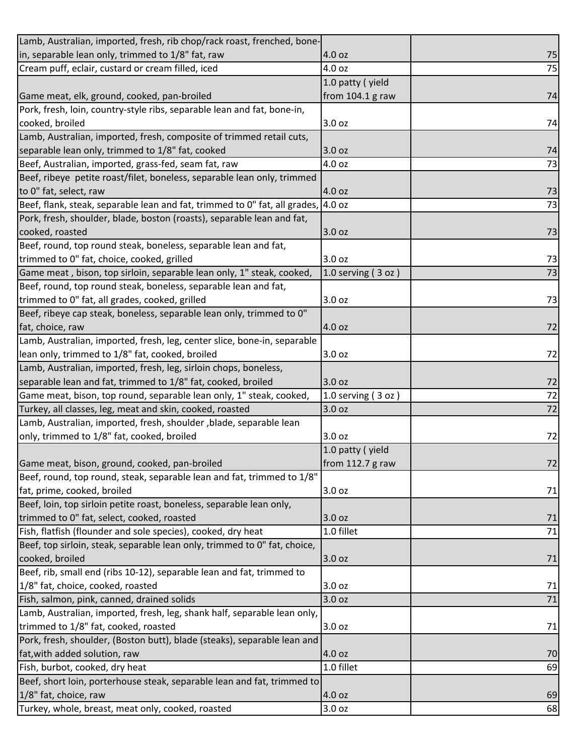| Lamb, Australian, imported, fresh, rib chop/rack roast, frenched, bone-           |                           |    |
|-----------------------------------------------------------------------------------|---------------------------|----|
| in, separable lean only, trimmed to 1/8" fat, raw                                 | 4.0 oz                    | 75 |
| Cream puff, eclair, custard or cream filled, iced                                 | 4.0 oz                    | 75 |
|                                                                                   | 1.0 patty (yield          |    |
| Game meat, elk, ground, cooked, pan-broiled                                       | from 104.1 g raw          | 74 |
| Pork, fresh, loin, country-style ribs, separable lean and fat, bone-in,           |                           |    |
| cooked, broiled                                                                   | 3.0 oz                    | 74 |
| Lamb, Australian, imported, fresh, composite of trimmed retail cuts,              |                           |    |
| separable lean only, trimmed to 1/8" fat, cooked                                  | 3.0 oz                    | 74 |
| Beef, Australian, imported, grass-fed, seam fat, raw                              | 4.0 oz                    | 73 |
| Beef, ribeye petite roast/filet, boneless, separable lean only, trimmed           |                           |    |
| to 0" fat, select, raw                                                            | 4.0 oz                    | 73 |
| Beef, flank, steak, separable lean and fat, trimmed to 0" fat, all grades, 4.0 oz |                           | 73 |
| Pork, fresh, shoulder, blade, boston (roasts), separable lean and fat,            |                           |    |
| cooked, roasted                                                                   | 3.0 oz                    | 73 |
| Beef, round, top round steak, boneless, separable lean and fat,                   |                           |    |
| trimmed to 0" fat, choice, cooked, grilled                                        | 3.0 oz                    | 73 |
| Game meat, bison, top sirloin, separable lean only, 1" steak, cooked,             | $1.0$ serving $(3$ oz $)$ | 73 |
| Beef, round, top round steak, boneless, separable lean and fat,                   |                           |    |
| trimmed to 0" fat, all grades, cooked, grilled                                    | 3.0 oz                    | 73 |
| Beef, ribeye cap steak, boneless, separable lean only, trimmed to 0"              |                           |    |
| fat, choice, raw                                                                  | 4.0 oz                    | 72 |
| Lamb, Australian, imported, fresh, leg, center slice, bone-in, separable          |                           |    |
| lean only, trimmed to 1/8" fat, cooked, broiled                                   | 3.0 oz                    | 72 |
| Lamb, Australian, imported, fresh, leg, sirloin chops, boneless,                  |                           |    |
| separable lean and fat, trimmed to 1/8" fat, cooked, broiled                      | 3.0 oz                    | 72 |
| Game meat, bison, top round, separable lean only, 1" steak, cooked,               | 1.0 serving $(3 oz)$      | 72 |
| Turkey, all classes, leg, meat and skin, cooked, roasted                          | 3.0 oz                    | 72 |
| Lamb, Australian, imported, fresh, shoulder ,blade, separable lean                |                           |    |
| only, trimmed to 1/8" fat, cooked, broiled                                        | 3.0 oz                    | 72 |
|                                                                                   | 1.0 patty (yield          |    |
| Game meat, bison, ground, cooked, pan-broiled                                     | from 112.7 g raw          | 72 |
| Beef, round, top round, steak, separable lean and fat, trimmed to 1/8"            |                           |    |
| fat, prime, cooked, broiled                                                       | 3.0 oz                    | 71 |
| Beef, loin, top sirloin petite roast, boneless, separable lean only,              |                           |    |
| trimmed to 0" fat, select, cooked, roasted                                        | 3.0 oz                    | 71 |
| Fish, flatfish (flounder and sole species), cooked, dry heat                      | 1.0 fillet                | 71 |
| Beef, top sirloin, steak, separable lean only, trimmed to 0" fat, choice,         |                           |    |
| cooked, broiled                                                                   | 3.0 oz                    | 71 |
| Beef, rib, small end (ribs 10-12), separable lean and fat, trimmed to             |                           |    |
| 1/8" fat, choice, cooked, roasted                                                 | 3.0 oz                    | 71 |
| Fish, salmon, pink, canned, drained solids                                        | 3.0 oz                    | 71 |
| Lamb, Australian, imported, fresh, leg, shank half, separable lean only,          |                           |    |
| trimmed to 1/8" fat, cooked, roasted                                              | 3.0 oz                    | 71 |
| Pork, fresh, shoulder, (Boston butt), blade (steaks), separable lean and          |                           |    |
| fat, with added solution, raw                                                     | 4.0 oz                    | 70 |
| Fish, burbot, cooked, dry heat                                                    | 1.0 fillet                | 69 |
| Beef, short loin, porterhouse steak, separable lean and fat, trimmed to           |                           |    |
| 1/8" fat, choice, raw                                                             | 4.0 oz                    | 69 |
| Turkey, whole, breast, meat only, cooked, roasted                                 | 3.0 oz                    | 68 |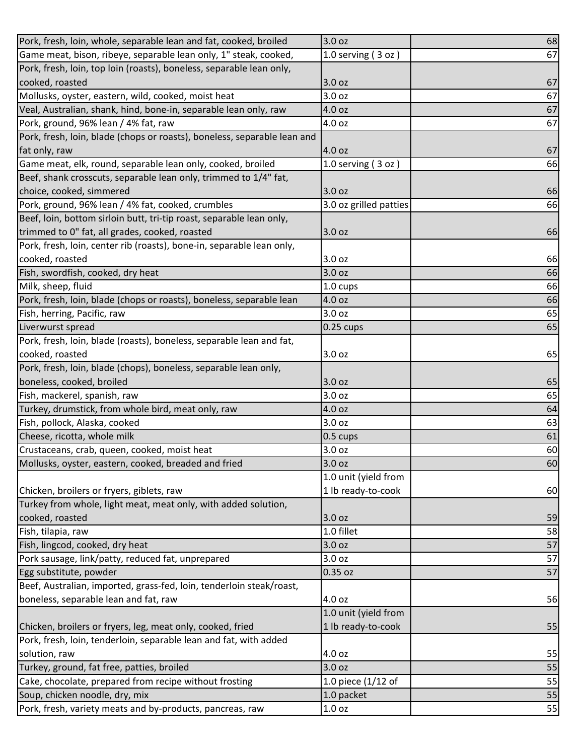| Pork, fresh, loin, whole, separable lean and fat, cooked, broiled        | 3.0 oz                 | 68 |
|--------------------------------------------------------------------------|------------------------|----|
| Game meat, bison, ribeye, separable lean only, 1" steak, cooked,         | 1.0 serving (3 oz)     | 67 |
| Pork, fresh, loin, top loin (roasts), boneless, separable lean only,     |                        |    |
| cooked, roasted                                                          | 3.0 oz                 | 67 |
| Mollusks, oyster, eastern, wild, cooked, moist heat                      | 3.0 oz                 | 67 |
| Veal, Australian, shank, hind, bone-in, separable lean only, raw         | 4.0 oz                 | 67 |
| Pork, ground, 96% lean / 4% fat, raw                                     | 4.0 oz                 | 67 |
| Pork, fresh, loin, blade (chops or roasts), boneless, separable lean and |                        |    |
| fat only, raw                                                            | 4.0 oz                 | 67 |
| Game meat, elk, round, separable lean only, cooked, broiled              | 1.0 serving $(3 oz)$   | 66 |
| Beef, shank crosscuts, separable lean only, trimmed to 1/4" fat,         |                        |    |
| choice, cooked, simmered                                                 | 3.0 oz                 | 66 |
| Pork, ground, 96% lean / 4% fat, cooked, crumbles                        | 3.0 oz grilled patties | 66 |
| Beef, loin, bottom sirloin butt, tri-tip roast, separable lean only,     |                        |    |
| trimmed to 0" fat, all grades, cooked, roasted                           | 3.0 oz                 | 66 |
| Pork, fresh, loin, center rib (roasts), bone-in, separable lean only,    |                        |    |
| cooked, roasted                                                          | 3.0 oz                 | 66 |
| Fish, swordfish, cooked, dry heat                                        | 3.0 oz                 | 66 |
| Milk, sheep, fluid                                                       | 1.0 cups               | 66 |
| Pork, fresh, loin, blade (chops or roasts), boneless, separable lean     | 4.0 oz                 | 66 |
| Fish, herring, Pacific, raw                                              | 3.0 oz                 | 65 |
| Liverwurst spread                                                        | $0.25 \text{ cups}$    | 65 |
| Pork, fresh, loin, blade (roasts), boneless, separable lean and fat,     |                        |    |
| cooked, roasted                                                          | 3.0 oz                 | 65 |
| Pork, fresh, loin, blade (chops), boneless, separable lean only,         |                        |    |
| boneless, cooked, broiled                                                | 3.0 oz                 | 65 |
| Fish, mackerel, spanish, raw                                             | 3.0 oz                 | 65 |
| Turkey, drumstick, from whole bird, meat only, raw                       | 4.0 oz                 | 64 |
| Fish, pollock, Alaska, cooked                                            | 3.0 oz                 | 63 |
| Cheese, ricotta, whole milk                                              | 0.5 cups               | 61 |
| Crustaceans, crab, queen, cooked, moist heat                             | 3.0 oz                 | 60 |
| Mollusks, oyster, eastern, cooked, breaded and fried                     | 3.0 oz                 | 60 |
|                                                                          | 1.0 unit (yield from   |    |
| Chicken, broilers or fryers, giblets, raw                                | 1 lb ready-to-cook     | 60 |
| Turkey from whole, light meat, meat only, with added solution,           |                        |    |
| cooked, roasted                                                          | 3.0 oz                 | 59 |
| Fish, tilapia, raw                                                       | 1.0 fillet             | 58 |
| Fish, lingcod, cooked, dry heat                                          | 3.0 oz                 | 57 |
| Pork sausage, link/patty, reduced fat, unprepared                        | 3.0 oz                 | 57 |
| Egg substitute, powder                                                   | 0.35 oz                | 57 |
| Beef, Australian, imported, grass-fed, loin, tenderloin steak/roast,     |                        |    |
| boneless, separable lean and fat, raw                                    | 4.0 oz                 | 56 |
|                                                                          | 1.0 unit (yield from   |    |
| Chicken, broilers or fryers, leg, meat only, cooked, fried               | 1 lb ready-to-cook     | 55 |
| Pork, fresh, loin, tenderloin, separable lean and fat, with added        |                        |    |
| solution, raw                                                            | 4.0 oz                 | 55 |
| Turkey, ground, fat free, patties, broiled                               | 3.0 oz                 | 55 |
| Cake, chocolate, prepared from recipe without frosting                   | 1.0 piece $(1/12$ of   | 55 |
| Soup, chicken noodle, dry, mix                                           | 1.0 packet             | 55 |
| Pork, fresh, variety meats and by-products, pancreas, raw                | 1.0 oz                 | 55 |
|                                                                          |                        |    |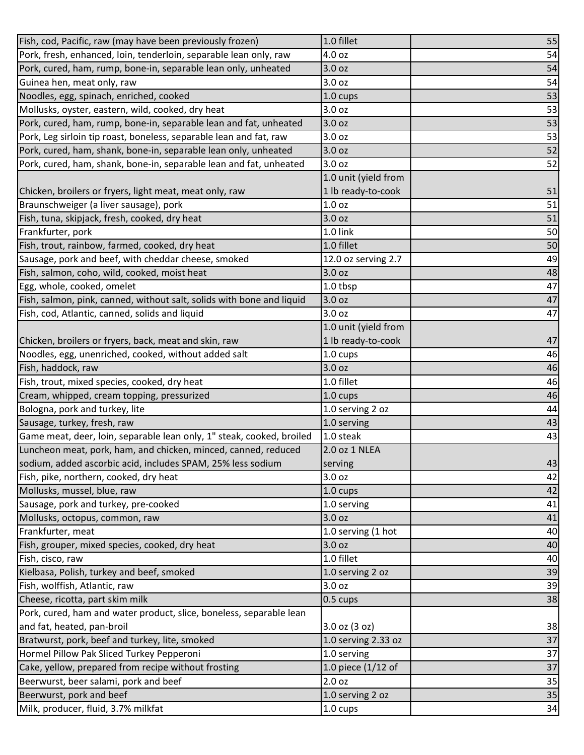| Fish, cod, Pacific, raw (may have been previously frozen)             | 1.0 fillet           | 55 |
|-----------------------------------------------------------------------|----------------------|----|
| Pork, fresh, enhanced, loin, tenderloin, separable lean only, raw     | 4.0 oz               | 54 |
| Pork, cured, ham, rump, bone-in, separable lean only, unheated        | 3.0 oz               | 54 |
| Guinea hen, meat only, raw                                            | 3.0 oz               | 54 |
| Noodles, egg, spinach, enriched, cooked                               | 1.0 cups             | 53 |
| Mollusks, oyster, eastern, wild, cooked, dry heat                     | 3.0 oz               | 53 |
| Pork, cured, ham, rump, bone-in, separable lean and fat, unheated     | 3.0 oz               | 53 |
| Pork, Leg sirloin tip roast, boneless, separable lean and fat, raw    | 3.0 oz               | 53 |
| Pork, cured, ham, shank, bone-in, separable lean only, unheated       | 3.0 oz               | 52 |
| Pork, cured, ham, shank, bone-in, separable lean and fat, unheated    | 3.0 oz               | 52 |
|                                                                       | 1.0 unit (yield from |    |
| Chicken, broilers or fryers, light meat, meat only, raw               | 1 lb ready-to-cook   | 51 |
| Braunschweiger (a liver sausage), pork                                | 1.0 <sub>oz</sub>    | 51 |
| Fish, tuna, skipjack, fresh, cooked, dry heat                         | 3.0 oz               | 51 |
| Frankfurter, pork                                                     | 1.0 link             | 50 |
| Fish, trout, rainbow, farmed, cooked, dry heat                        | 1.0 fillet           | 50 |
| Sausage, pork and beef, with cheddar cheese, smoked                   | 12.0 oz serving 2.7  | 49 |
| Fish, salmon, coho, wild, cooked, moist heat                          | 3.0 oz               | 48 |
| Egg, whole, cooked, omelet                                            | 1.0 tbsp             | 47 |
| Fish, salmon, pink, canned, without salt, solids with bone and liquid | 3.0 oz               | 47 |
| Fish, cod, Atlantic, canned, solids and liquid                        | 3.0 oz               | 47 |
|                                                                       | 1.0 unit (yield from |    |
| Chicken, broilers or fryers, back, meat and skin, raw                 | 1 lb ready-to-cook   | 47 |
| Noodles, egg, unenriched, cooked, without added salt                  | 1.0 cups             | 46 |
| Fish, haddock, raw                                                    | 3.0 oz               | 46 |
|                                                                       |                      |    |
| Fish, trout, mixed species, cooked, dry heat                          | 1.0 fillet           | 46 |
| Cream, whipped, cream topping, pressurized                            | 1.0 cups             | 46 |
| Bologna, pork and turkey, lite                                        | 1.0 serving 2 oz     | 44 |
| Sausage, turkey, fresh, raw                                           | 1.0 serving          | 43 |
| Game meat, deer, loin, separable lean only, 1" steak, cooked, broiled | 1.0 steak            | 43 |
| Luncheon meat, pork, ham, and chicken, minced, canned, reduced        | 2.0 oz 1 NLEA        |    |
| sodium, added ascorbic acid, includes SPAM, 25% less sodium           | serving              | 43 |
| Fish, pike, northern, cooked, dry heat                                | 3.0 oz               | 42 |
| Mollusks, mussel, blue, raw                                           | 1.0 cups             | 42 |
| Sausage, pork and turkey, pre-cooked                                  | 1.0 serving          | 41 |
| Mollusks, octopus, common, raw                                        | 3.0 oz               | 41 |
| Frankfurter, meat                                                     | 1.0 serving (1 hot   | 40 |
| Fish, grouper, mixed species, cooked, dry heat                        | 3.0 oz               | 40 |
| Fish, cisco, raw                                                      | 1.0 fillet           | 40 |
| Kielbasa, Polish, turkey and beef, smoked                             | 1.0 serving 2 oz     | 39 |
| Fish, wolffish, Atlantic, raw                                         | 3.0 oz               | 39 |
| Cheese, ricotta, part skim milk                                       | 0.5 cups             | 38 |
| Pork, cured, ham and water product, slice, boneless, separable lean   |                      |    |
| and fat, heated, pan-broil                                            | 3.0 oz (3 oz)        | 38 |
| Bratwurst, pork, beef and turkey, lite, smoked                        | 1.0 serving 2.33 oz  | 37 |
| Hormel Pillow Pak Sliced Turkey Pepperoni                             | 1.0 serving          | 37 |
| Cake, yellow, prepared from recipe without frosting                   | 1.0 piece $(1/12$ of | 37 |
| Beerwurst, beer salami, pork and beef                                 | 2.0 oz               | 35 |
| Beerwurst, pork and beef                                              | 1.0 serving 2 oz     | 35 |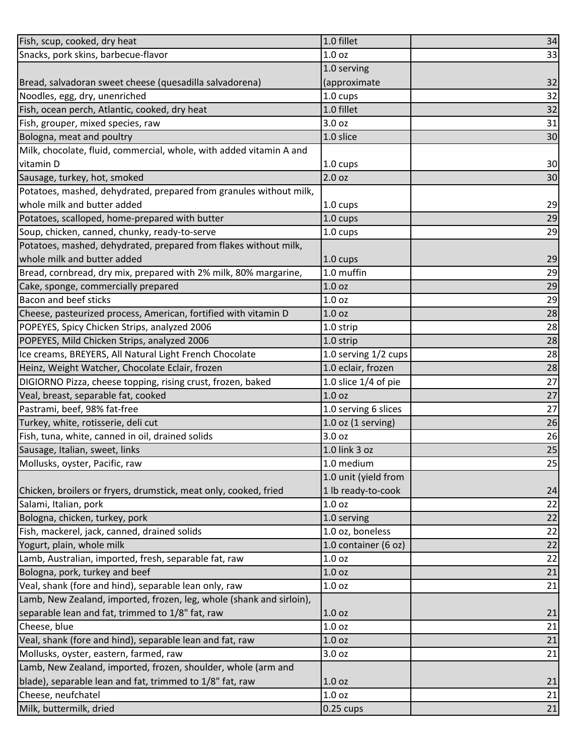| Fish, scup, cooked, dry heat                                         | 1.0 fillet                                  | 34 |
|----------------------------------------------------------------------|---------------------------------------------|----|
| Snacks, pork skins, barbecue-flavor                                  | 1.0 <sub>oz</sub>                           | 33 |
|                                                                      | 1.0 serving                                 |    |
| Bread, salvadoran sweet cheese (quesadilla salvadorena)              | (approximate                                | 32 |
| Noodles, egg, dry, unenriched                                        | 1.0 cups                                    | 32 |
| Fish, ocean perch, Atlantic, cooked, dry heat                        | 1.0 fillet                                  | 32 |
| Fish, grouper, mixed species, raw                                    | 3.0 oz                                      | 31 |
| Bologna, meat and poultry                                            | 1.0 slice                                   | 30 |
| Milk, chocolate, fluid, commercial, whole, with added vitamin A and  |                                             |    |
| vitamin D                                                            | 1.0 cups                                    | 30 |
| Sausage, turkey, hot, smoked                                         | 2.0 oz                                      | 30 |
| Potatoes, mashed, dehydrated, prepared from granules without milk,   |                                             |    |
| whole milk and butter added                                          | 1.0 cups                                    | 29 |
| Potatoes, scalloped, home-prepared with butter                       | 1.0 cups                                    | 29 |
| Soup, chicken, canned, chunky, ready-to-serve                        | 1.0 cups                                    | 29 |
| Potatoes, mashed, dehydrated, prepared from flakes without milk,     |                                             |    |
| whole milk and butter added                                          | 1.0 cups                                    | 29 |
| Bread, cornbread, dry mix, prepared with 2% milk, 80% margarine,     | 1.0 muffin                                  | 29 |
| Cake, sponge, commercially prepared                                  | 1.0 <sub>oz</sub>                           | 29 |
| <b>Bacon and beef sticks</b>                                         | 1.0 <sub>oz</sub>                           | 29 |
| Cheese, pasteurized process, American, fortified with vitamin D      | 1.0 <sub>oz</sub>                           | 28 |
| POPEYES, Spicy Chicken Strips, analyzed 2006                         | 1.0 strip                                   | 28 |
| POPEYES, Mild Chicken Strips, analyzed 2006                          | 1.0 strip                                   | 28 |
| Ice creams, BREYERS, All Natural Light French Chocolate              | 1.0 serving 1/2 cups                        | 28 |
|                                                                      | 1.0 eclair, frozen                          | 28 |
| Heinz, Weight Watcher, Chocolate Eclair, frozen                      |                                             | 27 |
| DIGIORNO Pizza, cheese topping, rising crust, frozen, baked          | 1.0 slice $1/4$ of pie<br>1.0 <sub>oz</sub> |    |
| Veal, breast, separable fat, cooked                                  |                                             | 27 |
| Pastrami, beef, 98% fat-free                                         | 1.0 serving 6 slices                        | 27 |
| Turkey, white, rotisserie, deli cut                                  | $1.0$ oz (1 serving)                        | 26 |
| Fish, tuna, white, canned in oil, drained solids                     | 3.0 oz                                      | 26 |
| Sausage, Italian, sweet, links                                       | 1.0 link 3 oz                               | 25 |
| Mollusks, oyster, Pacific, raw                                       | 1.0 medium                                  | 25 |
|                                                                      | 1.0 unit (yield from                        |    |
| Chicken, broilers or fryers, drumstick, meat only, cooked, fried     | 1 lb ready-to-cook                          | 24 |
| Salami, Italian, pork                                                | 1.0 <sub>oz</sub>                           | 22 |
| Bologna, chicken, turkey, pork                                       | 1.0 serving                                 | 22 |
| Fish, mackerel, jack, canned, drained solids                         | 1.0 oz, boneless                            | 22 |
| Yogurt, plain, whole milk                                            | 1.0 container (6 oz)                        | 22 |
| Lamb, Australian, imported, fresh, separable fat, raw                | 1.0 oz                                      | 22 |
| Bologna, pork, turkey and beef                                       | 1.0 oz                                      | 21 |
| Veal, shank (fore and hind), separable lean only, raw                | 1.0 oz                                      | 21 |
| Lamb, New Zealand, imported, frozen, leg, whole (shank and sirloin), |                                             |    |
| separable lean and fat, trimmed to 1/8" fat, raw                     | 1.0 <sub>oz</sub>                           | 21 |
| Cheese, blue                                                         | 1.0 oz                                      | 21 |
| Veal, shank (fore and hind), separable lean and fat, raw             | 1.0 oz                                      | 21 |
| Mollusks, oyster, eastern, farmed, raw                               | 3.0 oz                                      | 21 |
| Lamb, New Zealand, imported, frozen, shoulder, whole (arm and        |                                             |    |
| blade), separable lean and fat, trimmed to 1/8" fat, raw             | 1.0 oz                                      | 21 |
| Cheese, neufchatel                                                   | 1.0 oz                                      | 21 |
| Milk, buttermilk, dried                                              | $0.25 \text{ cups}$                         | 21 |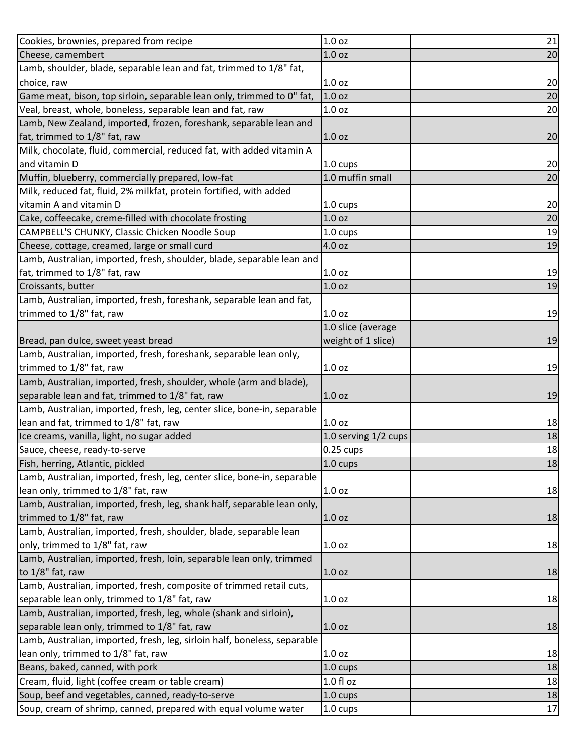| Cookies, brownies, prepared from recipe                                   | 1.0 oz               | 21 |
|---------------------------------------------------------------------------|----------------------|----|
| Cheese, camembert                                                         | 1.0 <sub>oz</sub>    | 20 |
| Lamb, shoulder, blade, separable lean and fat, trimmed to 1/8" fat,       |                      |    |
| choice, raw                                                               | 1.0 <sub>oz</sub>    | 20 |
| Game meat, bison, top sirloin, separable lean only, trimmed to 0" fat,    | 1.0 <sub>oz</sub>    | 20 |
| Veal, breast, whole, boneless, separable lean and fat, raw                | 1.0 <sub>oz</sub>    | 20 |
| Lamb, New Zealand, imported, frozen, foreshank, separable lean and        |                      |    |
| fat, trimmed to 1/8" fat, raw                                             | 1.0 <sub>oz</sub>    | 20 |
| Milk, chocolate, fluid, commercial, reduced fat, with added vitamin A     |                      |    |
| and vitamin D                                                             | 1.0 cups             | 20 |
| Muffin, blueberry, commercially prepared, low-fat                         | 1.0 muffin small     | 20 |
| Milk, reduced fat, fluid, 2% milkfat, protein fortified, with added       |                      |    |
| vitamin A and vitamin D                                                   | 1.0 cups             | 20 |
| Cake, coffeecake, creme-filled with chocolate frosting                    | 1.0 <sub>oz</sub>    | 20 |
| CAMPBELL'S CHUNKY, Classic Chicken Noodle Soup                            | 1.0 cups             | 19 |
| Cheese, cottage, creamed, large or small curd                             | 4.0 oz               | 19 |
| Lamb, Australian, imported, fresh, shoulder, blade, separable lean and    |                      |    |
| fat, trimmed to 1/8" fat, raw                                             | 1.0 <sub>oz</sub>    | 19 |
| Croissants, butter                                                        | 1.0 <sub>oz</sub>    | 19 |
| Lamb, Australian, imported, fresh, foreshank, separable lean and fat,     |                      |    |
| trimmed to 1/8" fat, raw                                                  | 1.0 <sub>oz</sub>    | 19 |
|                                                                           | 1.0 slice (average   |    |
| Bread, pan dulce, sweet yeast bread                                       | weight of 1 slice)   | 19 |
| Lamb, Australian, imported, fresh, foreshank, separable lean only,        |                      |    |
| trimmed to 1/8" fat, raw                                                  | 1.0 <sub>oz</sub>    | 19 |
| Lamb, Australian, imported, fresh, shoulder, whole (arm and blade),       |                      |    |
| separable lean and fat, trimmed to 1/8" fat, raw                          | 1.0 <sub>oz</sub>    | 19 |
| Lamb, Australian, imported, fresh, leg, center slice, bone-in, separable  |                      |    |
| lean and fat, trimmed to 1/8" fat, raw                                    | 1.0 <sub>oz</sub>    | 18 |
| Ice creams, vanilla, light, no sugar added                                | 1.0 serving 1/2 cups | 18 |
| Sauce, cheese, ready-to-serve                                             | $0.25$ cups          | 18 |
| Fish, herring, Atlantic, pickled                                          | $1.0 \text{ cups}$   | 18 |
| Lamb, Australian, imported, fresh, leg, center slice, bone-in, separable  |                      |    |
| lean only, trimmed to 1/8" fat, raw                                       | 1.0 <sub>oz</sub>    | 18 |
| Lamb, Australian, imported, fresh, leg, shank half, separable lean only,  |                      |    |
| trimmed to 1/8" fat, raw                                                  | 1.0 <sub>oz</sub>    | 18 |
| Lamb, Australian, imported, fresh, shoulder, blade, separable lean        |                      |    |
| only, trimmed to 1/8" fat, raw                                            | 1.0 <sub>oz</sub>    | 18 |
| Lamb, Australian, imported, fresh, loin, separable lean only, trimmed     |                      |    |
| to 1/8" fat, raw                                                          | 1.0 <sub>oz</sub>    | 18 |
| Lamb, Australian, imported, fresh, composite of trimmed retail cuts,      |                      |    |
| separable lean only, trimmed to 1/8" fat, raw                             | 1.0 <sub>oz</sub>    | 18 |
| Lamb, Australian, imported, fresh, leg, whole (shank and sirloin),        |                      |    |
| separable lean only, trimmed to 1/8" fat, raw                             | 1.0 <sub>oz</sub>    | 18 |
| Lamb, Australian, imported, fresh, leg, sirloin half, boneless, separable |                      |    |
| lean only, trimmed to 1/8" fat, raw                                       | 1.0 <sub>oz</sub>    | 18 |
| Beans, baked, canned, with pork                                           | 1.0 cups             | 18 |
| Cream, fluid, light (coffee cream or table cream)                         | $1.0 f$ l oz         | 18 |
| Soup, beef and vegetables, canned, ready-to-serve                         | 1.0 cups             | 18 |
| Soup, cream of shrimp, canned, prepared with equal volume water           | 1.0 cups             | 17 |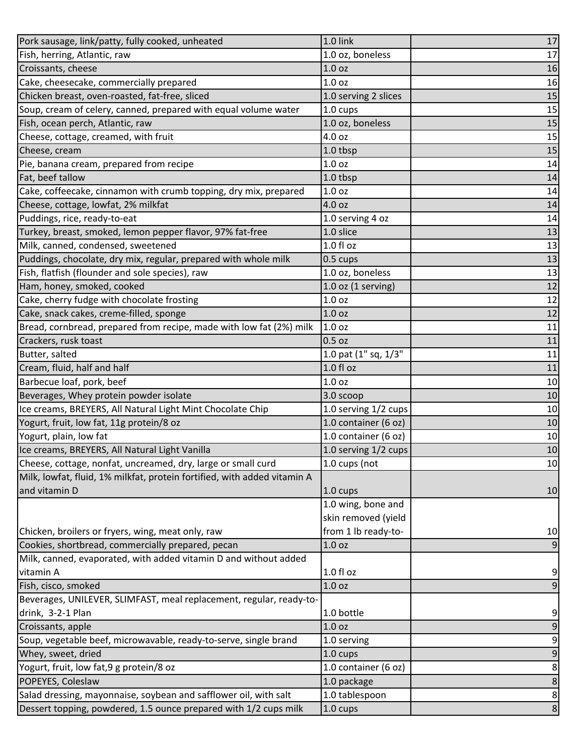| Pork sausage, link/patty, fully cooked, unheated                         | 1.0 link                   | $17\,$           |
|--------------------------------------------------------------------------|----------------------------|------------------|
| Fish, herring, Atlantic, raw                                             | 1.0 oz, boneless           | 17               |
| Croissants, cheese                                                       | 1.0 <sub>oz</sub>          | 16               |
| Cake, cheesecake, commercially prepared                                  | 1.0 <sub>oz</sub>          | 16               |
| Chicken breast, oven-roasted, fat-free, sliced                           | 1.0 serving 2 slices       | 15               |
| Soup, cream of celery, canned, prepared with equal volume water          | 1.0 cups                   | 15               |
| Fish, ocean perch, Atlantic, raw                                         | 1.0 oz, boneless           | 15               |
| Cheese, cottage, creamed, with fruit                                     | 4.0 oz                     | 15               |
| Cheese, cream                                                            | 1.0 tbsp                   | 15               |
| Pie, banana cream, prepared from recipe                                  | 1.0 oz                     | 14               |
| Fat, beef tallow                                                         | 1.0 tbsp                   | 14               |
| Cake, coffeecake, cinnamon with crumb topping, dry mix, prepared         | 1.0 <sub>oz</sub>          | 14               |
| Cheese, cottage, lowfat, 2% milkfat                                      | 4.0 oz                     | 14               |
| Puddings, rice, ready-to-eat                                             | 1.0 serving 4 oz           | 14               |
| Turkey, breast, smoked, lemon pepper flavor, 97% fat-free                | 1.0 slice                  | 13               |
| Milk, canned, condensed, sweetened                                       | 1.0 fl oz                  | 13               |
| Puddings, chocolate, dry mix, regular, prepared with whole milk          | 0.5 cups                   | 13               |
| Fish, flatfish (flounder and sole species), raw                          | 1.0 oz, boneless           | 13               |
| Ham, honey, smoked, cooked                                               | $1.0$ oz $(1$ serving)     | 12               |
| Cake, cherry fudge with chocolate frosting                               | 1.0 <sub>oz</sub>          | 12               |
| Cake, snack cakes, creme-filled, sponge                                  | 1.0 <sub>oz</sub>          | 12               |
| Bread, cornbread, prepared from recipe, made with low fat (2%) milk      | 1.0 oz                     | 11               |
| Crackers, rusk toast                                                     | 0.5 oz                     | 11               |
| Butter, salted                                                           | $1.0$ pat $(1"$ sq, $1/3"$ | 11               |
| Cream, fluid, half and half                                              | 1.0 fl oz                  | 11               |
| Barbecue loaf, pork, beef                                                | 1.0 <sub>oz</sub>          | 10               |
| Beverages, Whey protein powder isolate                                   | 3.0 scoop                  | 10               |
| Ice creams, BREYERS, All Natural Light Mint Chocolate Chip               | 1.0 serving 1/2 cups       | 10               |
| Yogurt, fruit, low fat, 11g protein/8 oz                                 | 1.0 container (6 oz)       | 10               |
| Yogurt, plain, low fat                                                   | 1.0 container (6 oz)       | 10               |
| Ice creams, BREYERS, All Natural Light Vanilla                           | 1.0 serving 1/2 cups       | 10               |
| Cheese, cottage, nonfat, uncreamed, dry, large or small curd             | 1.0 cups (not              | 10               |
| Milk, lowfat, fluid, 1% milkfat, protein fortified, with added vitamin A |                            |                  |
| and vitamin D                                                            | $1.0 \text{ cups}$         | 10               |
|                                                                          | 1.0 wing, bone and         |                  |
|                                                                          | skin removed (yield        |                  |
| Chicken, broilers or fryers, wing, meat only, raw                        | from 1 lb ready-to-        | 10               |
| Cookies, shortbread, commercially prepared, pecan                        | 1.0 <sub>oz</sub>          | 9                |
| Milk, canned, evaporated, with added vitamin D and without added         |                            |                  |
| vitamin A                                                                | 1.0 fl oz                  | $\overline{9}$   |
| Fish, cisco, smoked                                                      | 1.0 <sub>oz</sub>          | 9                |
| Beverages, UNILEVER, SLIMFAST, meal replacement, regular, ready-to-      |                            |                  |
| drink, 3-2-1 Plan                                                        | 1.0 bottle                 | 9                |
| Croissants, apple                                                        | 1.0 <sub>oz</sub>          | 9                |
| Soup, vegetable beef, microwavable, ready-to-serve, single brand         | 1.0 serving                | $\boldsymbol{9}$ |
| Whey, sweet, dried                                                       | 1.0 cups                   | 9                |
| Yogurt, fruit, low fat, 9 g protein/8 oz                                 | 1.0 container (6 oz)       | 8                |
| POPEYES, Coleslaw                                                        | 1.0 package                | $\bf 8$          |
| Salad dressing, mayonnaise, soybean and safflower oil, with salt         | 1.0 tablespoon             | 8                |
| Dessert topping, powdered, 1.5 ounce prepared with 1/2 cups milk         | 1.0 cups                   | $\bf 8$          |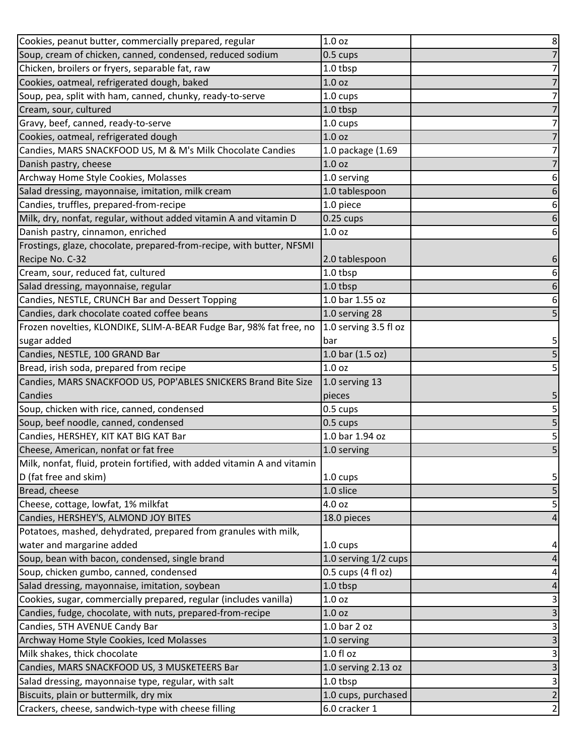| Cookies, peanut butter, commercially prepared, regular                   | 1.0 <sub>oz</sub>     | $\bf 8$        |
|--------------------------------------------------------------------------|-----------------------|----------------|
| Soup, cream of chicken, canned, condensed, reduced sodium                | 0.5 cups              | $\overline{7}$ |
| Chicken, broilers or fryers, separable fat, raw                          | 1.0 tbsp              | 7              |
| Cookies, oatmeal, refrigerated dough, baked                              | 1.0 <sub>oz</sub>     | $\overline{7}$ |
| Soup, pea, split with ham, canned, chunky, ready-to-serve                | 1.0 cups              | 7              |
| Cream, sour, cultured                                                    | $1.0$ tbsp            | 7              |
| Gravy, beef, canned, ready-to-serve                                      | 1.0 cups              | 7              |
| Cookies, oatmeal, refrigerated dough                                     | 1.0 <sub>oz</sub>     | 7              |
| Candies, MARS SNACKFOOD US, M & M's Milk Chocolate Candies               | 1.0 package (1.69     | 7              |
| Danish pastry, cheese                                                    | 1.0 <sub>oz</sub>     |                |
| Archway Home Style Cookies, Molasses                                     | 1.0 serving           | 6              |
| Salad dressing, mayonnaise, imitation, milk cream                        | 1.0 tablespoon        |                |
| Candies, truffles, prepared-from-recipe                                  | 1.0 piece             | 6              |
| Milk, dry, nonfat, regular, without added vitamin A and vitamin D        | $0.25$ cups           | 6              |
| Danish pastry, cinnamon, enriched                                        | 1.0 oz                | 6              |
| Frostings, glaze, chocolate, prepared-from-recipe, with butter, NFSMI    |                       |                |
| Recipe No. C-32                                                          | 2.0 tablespoon        | 6              |
| Cream, sour, reduced fat, cultured                                       | 1.0 tbsp              | 6              |
| Salad dressing, mayonnaise, regular                                      | 1.0 tbsp              | 6              |
| Candies, NESTLE, CRUNCH Bar and Dessert Topping                          | 1.0 bar 1.55 oz       | 6              |
| Candies, dark chocolate coated coffee beans                              | 1.0 serving 28        | 5              |
| Frozen novelties, KLONDIKE, SLIM-A-BEAR Fudge Bar, 98% fat free, no      | 1.0 serving 3.5 fl oz |                |
| sugar added                                                              | bar                   | 5              |
| Candies, NESTLE, 100 GRAND Bar                                           | 1.0 bar (1.5 oz)      | $\overline{5}$ |
| Bread, irish soda, prepared from recipe                                  | 1.0 <sub>oz</sub>     | 5              |
| Candies, MARS SNACKFOOD US, POP'ABLES SNICKERS Brand Bite Size           | 1.0 serving 13        |                |
| Candies                                                                  | pieces                | 5              |
| Soup, chicken with rice, canned, condensed                               | 0.5 cups              | 5              |
| Soup, beef noodle, canned, condensed                                     | 0.5 cups              | 5              |
| Candies, HERSHEY, KIT KAT BIG KAT Bar                                    | 1.0 bar 1.94 oz       | 5              |
| Cheese, American, nonfat or fat free                                     | 1.0 serving           | 5              |
| Milk, nonfat, fluid, protein fortified, with added vitamin A and vitamin |                       |                |
| D (fat free and skim)                                                    | $1.0 \text{ cups}$    | 5              |
| Bread, cheese                                                            | 1.0 slice             | 5              |
| Cheese, cottage, lowfat, 1% milkfat                                      | 4.0 oz                | 5              |
| Candies, HERSHEY'S, ALMOND JOY BITES                                     | 18.0 pieces           | 4              |
| Potatoes, mashed, dehydrated, prepared from granules with milk,          |                       |                |
| water and margarine added                                                | 1.0 cups              | 4              |
| Soup, bean with bacon, condensed, single brand                           | 1.0 serving 1/2 cups  | 4              |
| Soup, chicken gumbo, canned, condensed                                   | 0.5 cups (4 fl oz)    | 4              |
| Salad dressing, mayonnaise, imitation, soybean                           | 1.0 tbsp              | 4              |
| Cookies, sugar, commercially prepared, regular (includes vanilla)        | 1.0 oz                | 3              |
| Candies, fudge, chocolate, with nuts, prepared-from-recipe               | 1.0 <sub>oz</sub>     | $\mathsf{3}$   |
| Candies, 5TH AVENUE Candy Bar                                            | 1.0 bar 2 oz          | 3              |
| Archway Home Style Cookies, Iced Molasses                                | 1.0 serving           | 3              |
| Milk shakes, thick chocolate                                             | 1.0 fl oz             | 3              |
| Candies, MARS SNACKFOOD US, 3 MUSKETEERS Bar                             | 1.0 serving 2.13 oz   | $\mathsf{3}$   |
| Salad dressing, mayonnaise type, regular, with salt                      | 1.0 tbsp              | $\vert$ 3      |
| Biscuits, plain or buttermilk, dry mix                                   | 1.0 cups, purchased   | $\overline{2}$ |
| Crackers, cheese, sandwich-type with cheese filling                      | 6.0 cracker 1         | $\overline{2}$ |